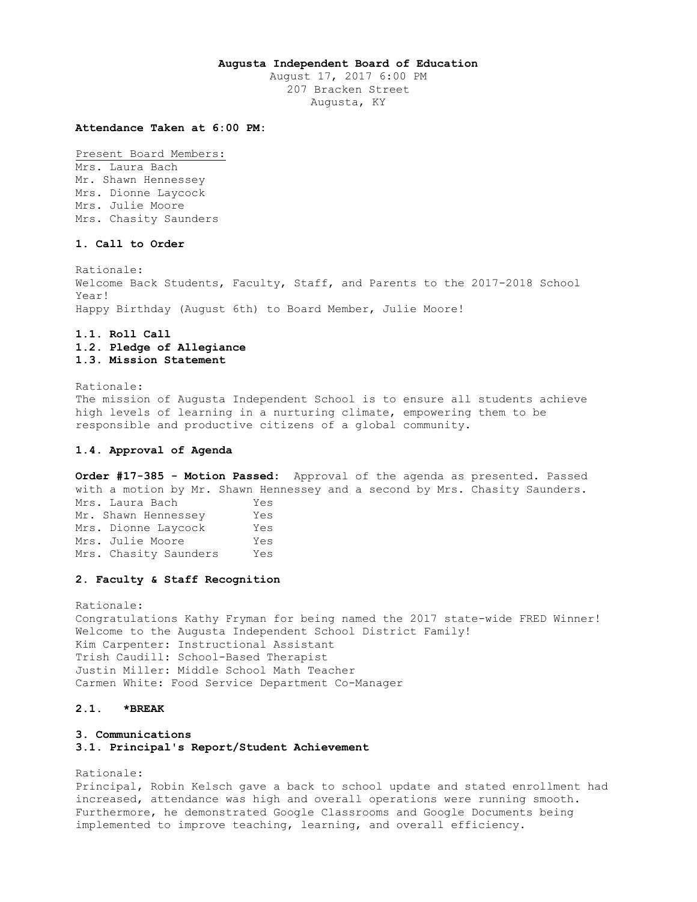### **Augusta Independent Board of Education**

August 17, 2017 6:00 PM 207 Bracken Street Augusta, KY

### **Attendance Taken at 6:00 PM:**

Present Board Members: Mrs. Laura Bach Mr. Shawn Hennessey Mrs. Dionne Laycock Mrs. Julie Moore Mrs. Chasity Saunders

# **1. Call to Order**

Rationale: Welcome Back Students, Faculty, Staff, and Parents to the 2017-2018 School Year! Happy Birthday (August 6th) to Board Member, Julie Moore!

# **1.1. Roll Call 1.2. Pledge of Allegiance 1.3. Mission Statement**

Rationale: The mission of Augusta Independent School is to ensure all students achieve high levels of learning in a nurturing climate, empowering them to be responsible and productive citizens of a global community.

## **1.4. Approval of Agenda**

**Order #17-385 - Motion Passed:** Approval of the agenda as presented. Passed with a motion by Mr. Shawn Hennessey and a second by Mrs. Chasity Saunders. Mrs. Laura Bach Yes Mr. Shawn Hennessey Yes Mrs. Dionne Laycock Yes Mrs. Julie Moore Yes Mrs. Chasity Saunders Yes

#### **2. Faculty & Staff Recognition**

Rationale: Congratulations Kathy Fryman for being named the 2017 state-wide FRED Winner! Welcome to the Augusta Independent School District Family! Kim Carpenter: Instructional Assistant Trish Caudill: School-Based Therapist Justin Miller: Middle School Math Teacher Carmen White: Food Service Department Co-Manager

# **2.1. \*BREAK**

# **3. Communications**

**3.1. Principal's Report/Student Achievement** 

Rationale: Principal, Robin Kelsch gave a back to school update and stated enrollment had increased, attendance was high and overall operations were running smooth. Furthermore, he demonstrated Google Classrooms and Google Documents being implemented to improve teaching, learning, and overall efficiency.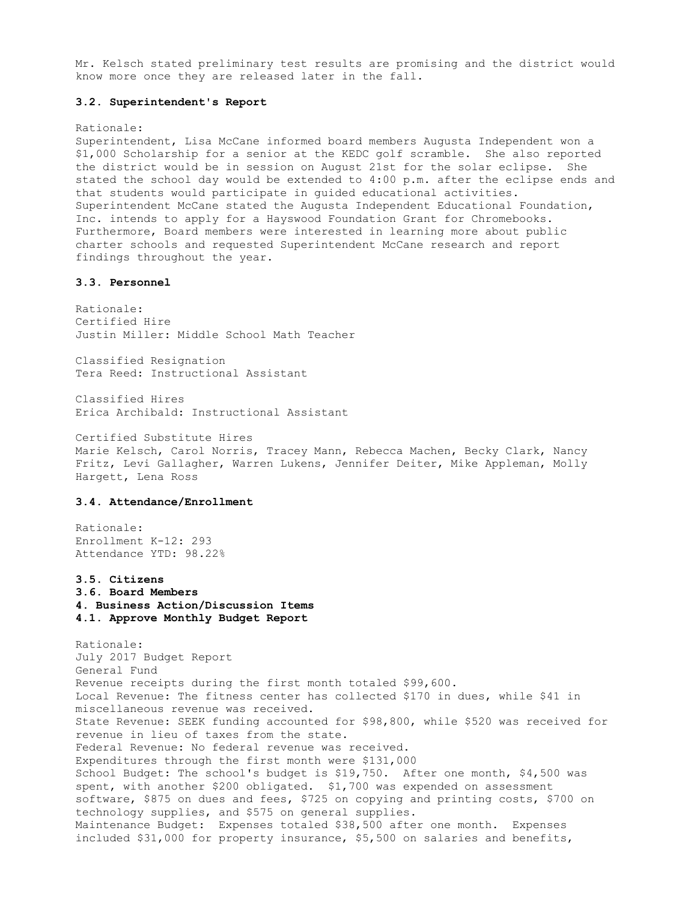Mr. Kelsch stated preliminary test results are promising and the district would know more once they are released later in the fall.

### **3.2. Superintendent's Report**

#### Rationale:

Superintendent, Lisa McCane informed board members Augusta Independent won a \$1,000 Scholarship for a senior at the KEDC golf scramble. She also reported the district would be in session on August 21st for the solar eclipse. She stated the school day would be extended to 4:00 p.m. after the eclipse ends and that students would participate in guided educational activities. Superintendent McCane stated the Augusta Independent Educational Foundation, Inc. intends to apply for a Hayswood Foundation Grant for Chromebooks. Furthermore, Board members were interested in learning more about public charter schools and requested Superintendent McCane research and report findings throughout the year.

# **3.3. Personnel**

Rationale: Certified Hire Justin Miller: Middle School Math Teacher

Classified Resignation Tera Reed: Instructional Assistant

Classified Hires Erica Archibald: Instructional Assistant

Certified Substitute Hires Marie Kelsch, Carol Norris, Tracey Mann, Rebecca Machen, Becky Clark, Nancy Fritz, Levi Gallagher, Warren Lukens, Jennifer Deiter, Mike Appleman, Molly Hargett, Lena Ross

# **3.4. Attendance/Enrollment**

Rationale: Enrollment K-12: 293 Attendance YTD: 98.22%

**3.5. Citizens 3.6. Board Members** 

**4. Business Action/Discussion Items 4.1. Approve Monthly Budget Report** 

Rationale: July 2017 Budget Report General Fund Revenue receipts during the first month totaled \$99,600. Local Revenue: The fitness center has collected \$170 in dues, while \$41 in miscellaneous revenue was received. State Revenue: SEEK funding accounted for \$98,800, while \$520 was received for revenue in lieu of taxes from the state. Federal Revenue: No federal revenue was received. Expenditures through the first month were \$131,000 School Budget: The school's budget is \$19,750. After one month, \$4,500 was spent, with another \$200 obligated. \$1,700 was expended on assessment software, \$875 on dues and fees, \$725 on copying and printing costs, \$700 on technology supplies, and \$575 on general supplies. Maintenance Budget: Expenses totaled \$38,500 after one month. Expenses included \$31,000 for property insurance, \$5,500 on salaries and benefits,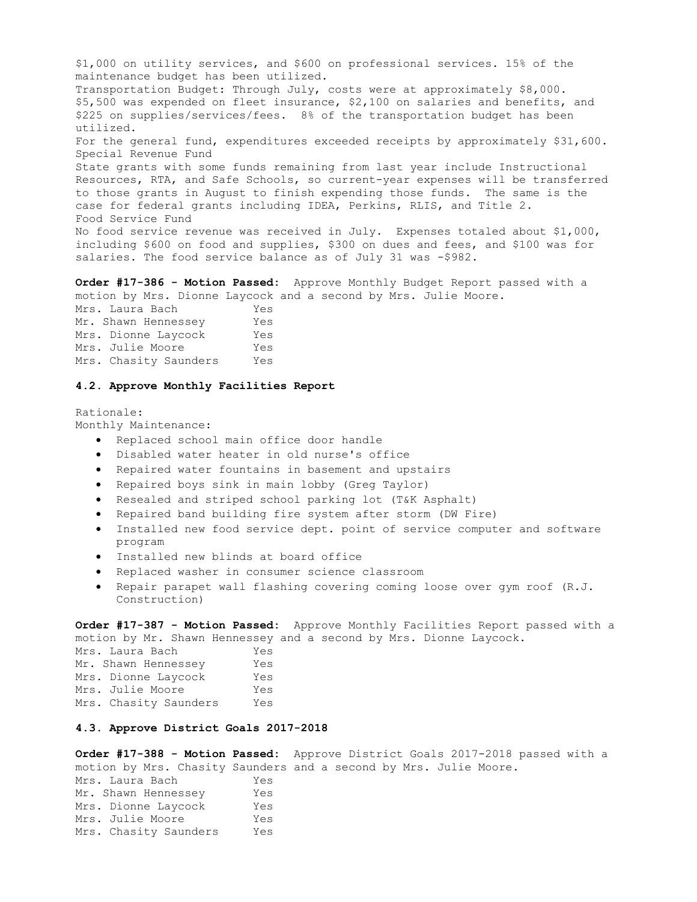\$1,000 on utility services, and \$600 on professional services. 15% of the maintenance budget has been utilized. Transportation Budget: Through July, costs were at approximately \$8,000. \$5,500 was expended on fleet insurance, \$2,100 on salaries and benefits, and \$225 on supplies/services/fees. 8% of the transportation budget has been utilized. For the general fund, expenditures exceeded receipts by approximately \$31,600. Special Revenue Fund State grants with some funds remaining from last year include Instructional Resources, RTA, and Safe Schools, so current-year expenses will be transferred to those grants in August to finish expending those funds. The same is the case for federal grants including IDEA, Perkins, RLIS, and Title 2. Food Service Fund No food service revenue was received in July. Expenses totaled about \$1,000, including \$600 on food and supplies, \$300 on dues and fees, and \$100 was for salaries. The food service balance as of July 31 was -\$982.

**Order #17-386 - Motion Passed:** Approve Monthly Budget Report passed with a motion by Mrs. Dionne Laycock and a second by Mrs. Julie Moore.

Mrs. Laura Bach Yes Mr. Shawn Hennessey Yes Mrs. Dionne Laycock Yes Mrs. Julie Moore Yes Mrs. Chasity Saunders Yes

#### **4.2. Approve Monthly Facilities Report**

Rationale: Monthly Maintenance:

- Replaced school main office door handle
- Disabled water heater in old nurse's office
- Repaired water fountains in basement and upstairs
- Repaired boys sink in main lobby (Greg Taylor)
- Resealed and striped school parking lot (T&K Asphalt)
- Repaired band building fire system after storm (DW Fire)
- Installed new food service dept. point of service computer and software program
- Installed new blinds at board office
- Replaced washer in consumer science classroom
- Repair parapet wall flashing covering coming loose over gym roof (R.J. Construction)

**Order #17-387 - Motion Passed:** Approve Monthly Facilities Report passed with a motion by Mr. Shawn Hennessey and a second by Mrs. Dionne Laycock.

| Mrs. Laura Bach       | Yes |
|-----------------------|-----|
| Mr. Shawn Hennessey   | Yes |
| Mrs. Dionne Laycock   | Yes |
| Mrs. Julie Moore      | Yes |
| Mrs. Chasity Saunders | Yes |

# **4.3. Approve District Goals 2017-2018**

**Order #17-388 - Motion Passed:** Approve District Goals 2017-2018 passed with a motion by Mrs. Chasity Saunders and a second by Mrs. Julie Moore. Mrs. Laura Bach Yes Mr. Shawn Hennessey Yes Mr. Shawn Hennesser,<br>Mrs. Dionne Laycock Yes<br>Yes Mrs. Julie Moore Yes Mrs. Chasity Saunders Yes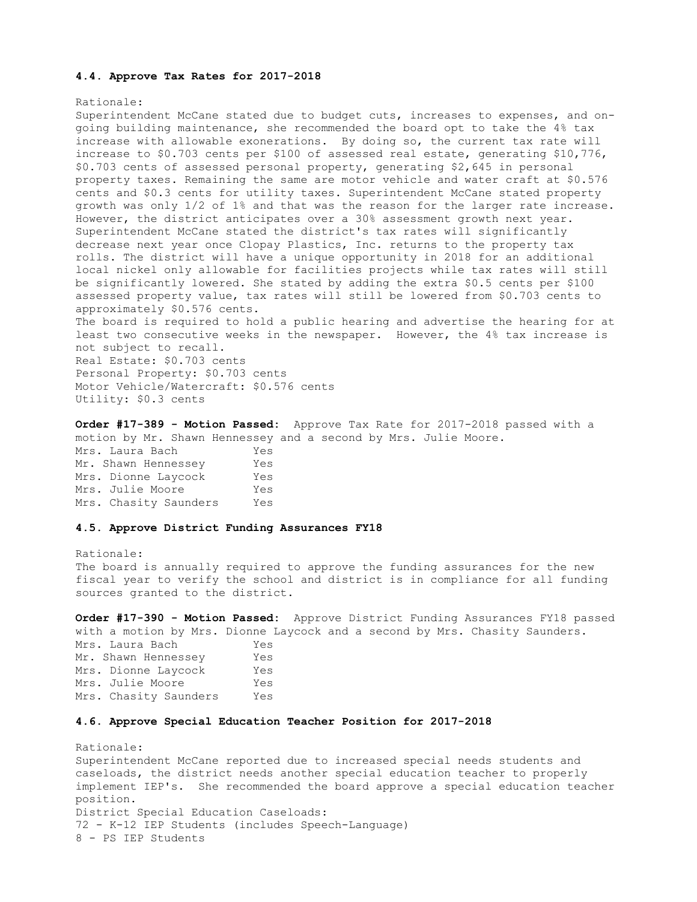#### **4.4. Approve Tax Rates for 2017-2018**

#### Rationale:

Superintendent McCane stated due to budget cuts, increases to expenses, and ongoing building maintenance, she recommended the board opt to take the 4% tax increase with allowable exonerations. By doing so, the current tax rate will increase to \$0.703 cents per \$100 of assessed real estate, generating \$10,776, \$0.703 cents of assessed personal property, generating \$2,645 in personal property taxes. Remaining the same are motor vehicle and water craft at \$0.576 cents and \$0.3 cents for utility taxes. Superintendent McCane stated property growth was only 1/2 of 1% and that was the reason for the larger rate increase. However, the district anticipates over a 30% assessment growth next year. Superintendent McCane stated the district's tax rates will significantly decrease next year once Clopay Plastics, Inc. returns to the property tax rolls. The district will have a unique opportunity in 2018 for an additional local nickel only allowable for facilities projects while tax rates will still be significantly lowered. She stated by adding the extra \$0.5 cents per \$100 assessed property value, tax rates will still be lowered from \$0.703 cents to approximately \$0.576 cents.

The board is required to hold a public hearing and advertise the hearing for at least two consecutive weeks in the newspaper. However, the 4% tax increase is not subject to recall. Real Estate: \$0.703 cents

Personal Property: \$0.703 cents Motor Vehicle/Watercraft: \$0.576 cents Utility: \$0.3 cents

**Order #17-389 - Motion Passed:** Approve Tax Rate for 2017-2018 passed with a motion by Mr. Shawn Hennessey and a second by Mrs. Julie Moore. Mrs. Laura Bach Yes Mr. Shawn Hennessey Yes Mrs. Dionne Laycock Yes Mrs. Julie Moore Yes Mrs. Chasity Saunders Yes

# **4.5. Approve District Funding Assurances FY18**

#### Rationale:

The board is annually required to approve the funding assurances for the new fiscal year to verify the school and district is in compliance for all funding sources granted to the district.

**Order #17-390 - Motion Passed:** Approve District Funding Assurances FY18 passed with a motion by Mrs. Dionne Laycock and a second by Mrs. Chasity Saunders. Mrs. Laura Bach Yes Mr. Shawn Hennessey Yes Mrs. Dionne Laycock Yes Mrs. Julie Moore Yes Mrs. Chasity Saunders Yes

# **4.6. Approve Special Education Teacher Position for 2017-2018**

Rationale: Superintendent McCane reported due to increased special needs students and caseloads, the district needs another special education teacher to properly implement IEP's. She recommended the board approve a special education teacher position. District Special Education Caseloads: 72 - K-12 IEP Students (includes Speech-Language) 8 - PS IEP Students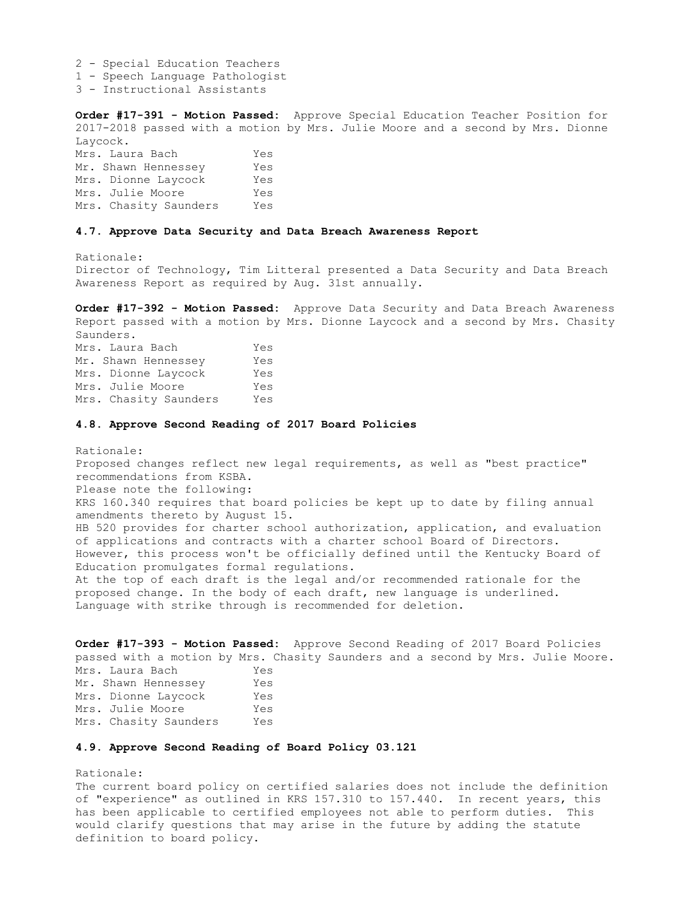2 - Special Education Teachers 1 - Speech Language Pathologist

3 - Instructional Assistants

**Order #17-391 - Motion Passed:** Approve Special Education Teacher Position for 2017-2018 passed with a motion by Mrs. Julie Moore and a second by Mrs. Dionne Laycock.

Mrs. Laura Bach Yes Mr. Shawn Hennessey Yes Mrs. Dionne Laycock Yes Mrs. Julie Moore Yes Mrs. Chasity Saunders Yes

# **4.7. Approve Data Security and Data Breach Awareness Report**

Rationale:

Director of Technology, Tim Litteral presented a Data Security and Data Breach Awareness Report as required by Aug. 31st annually.

**Order #17-392 - Motion Passed:** Approve Data Security and Data Breach Awareness Report passed with a motion by Mrs. Dionne Laycock and a second by Mrs. Chasity Saunders. Mrs. Laura Bach Yes Mr. Shawn Hennessey Yes Mrs. Dionne Laycock Yes Mrs. Julie Moore Yes Mrs. Chasity Saunders Yes

### **4.8. Approve Second Reading of 2017 Board Policies**

Rationale: Proposed changes reflect new legal requirements, as well as "best practice" recommendations from KSBA. Please note the following: KRS 160.340 requires that board policies be kept up to date by filing annual amendments thereto by August 15. HB 520 provides for charter school authorization, application, and evaluation of applications and contracts with a charter school Board of Directors. However, this process won't be officially defined until the Kentucky Board of Education promulgates formal regulations. At the top of each draft is the legal and/or recommended rationale for the proposed change. In the body of each draft, new language is underlined. Language with strike through is recommended for deletion.

**Order #17-393 - Motion Passed:** Approve Second Reading of 2017 Board Policies passed with a motion by Mrs. Chasity Saunders and a second by Mrs. Julie Moore.

Mrs. Laura Bach Yes Mr. Shawn Hennessey Yes Mrs. Dionne Laycock Yes Mrs. Julie Moore Yes Mrs. Chasity Saunders Yes

## **4.9. Approve Second Reading of Board Policy 03.121**

Rationale:

The current board policy on certified salaries does not include the definition of "experience" as outlined in KRS 157.310 to 157.440. In recent years, this has been applicable to certified employees not able to perform duties. This would clarify questions that may arise in the future by adding the statute definition to board policy.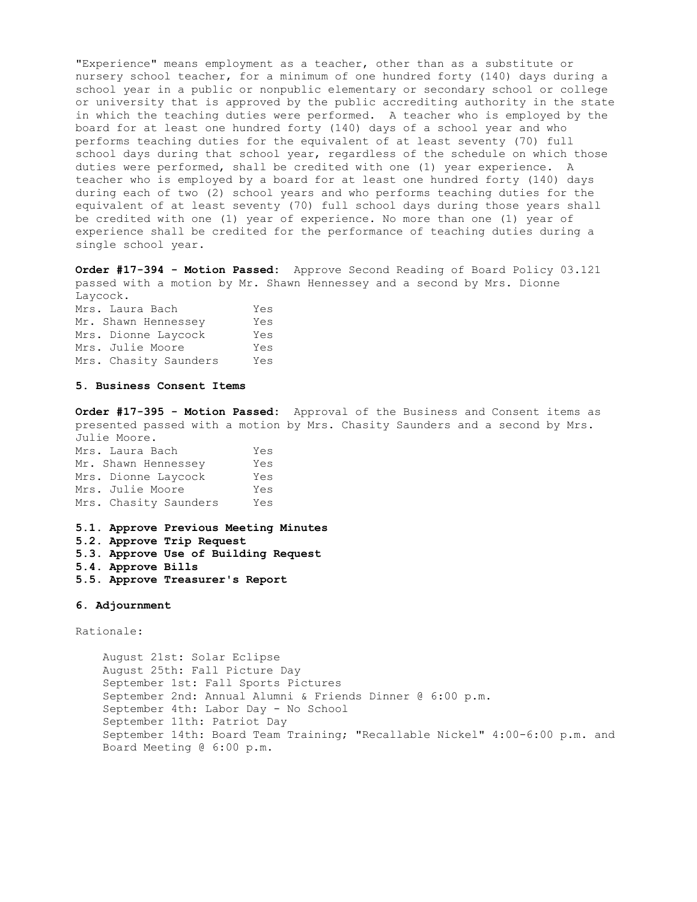"Experience" means employment as a teacher, other than as a substitute or nursery school teacher, for a minimum of one hundred forty (140) days during a school year in a public or nonpublic elementary or secondary school or college or university that is approved by the public accrediting authority in the state in which the teaching duties were performed. A teacher who is employed by the board for at least one hundred forty (140) days of a school year and who performs teaching duties for the equivalent of at least seventy (70) full school days during that school year, regardless of the schedule on which those duties were performed, shall be credited with one (1) year experience. A teacher who is employed by a board for at least one hundred forty (140) days during each of two (2) school years and who performs teaching duties for the equivalent of at least seventy (70) full school days during those years shall be credited with one (1) year of experience. No more than one (1) year of experience shall be credited for the performance of teaching duties during a single school year.

**Order #17-394 - Motion Passed:** Approve Second Reading of Board Policy 03.121 passed with a motion by Mr. Shawn Hennessey and a second by Mrs. Dionne Laycock.

| Mrs. Laura Bach       | Yes |
|-----------------------|-----|
| Mr. Shawn Hennessey   | Yes |
| Mrs. Dionne Laycock   | Yes |
| Mrs. Julie Moore      | Yes |
| Mrs. Chasity Saunders | Yes |

### **5. Business Consent Items**

**Order #17-395 - Motion Passed:** Approval of the Business and Consent items as presented passed with a motion by Mrs. Chasity Saunders and a second by Mrs. Julie Moore.

| Mrs. Laura Bach       | Yes |
|-----------------------|-----|
| Mr. Shawn Hennessey   | Yes |
| Mrs. Dionne Laycock   | Yes |
| Mrs. Julie Moore      | Yes |
| Mrs. Chasity Saunders | Yes |

**5.1. Approve Previous Meeting Minutes** 

**5.2. Approve Trip Request** 

- **5.3. Approve Use of Building Request**
- **5.4. Approve Bills**
- **5.5. Approve Treasurer's Report**

**6. Adjournment** 

Rationale:

 August 21st: Solar Eclipse August 25th: Fall Picture Day September 1st: Fall Sports Pictures September 2nd: Annual Alumni & Friends Dinner @ 6:00 p.m. September 4th: Labor Day - No School September 11th: Patriot Day September 14th: Board Team Training; "Recallable Nickel" 4:00-6:00 p.m. and Board Meeting @ 6:00 p.m.